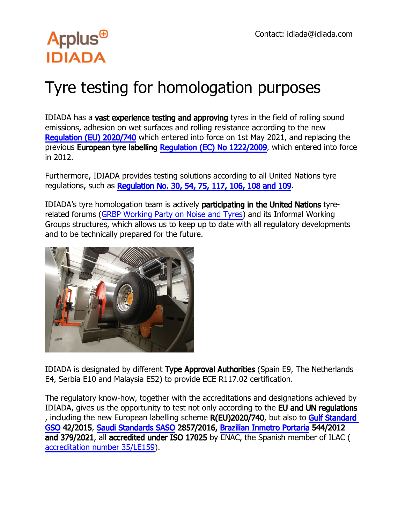### Tyre testing for homologation purposes

IDIADA has a vast experience testing and approving tyres in the field of rolling sound emissions, adhesion on wet surfaces and rolling resistance according to the new [Regulation \(EU\) 2020/740](https://eur-lex.europa.eu/legal-content/EN/TXT/?uri=uriserv%3AOJ.L_.2020.177.01.0001.01.ENGandtoc=OJ%3AL%3A2020%3A177%3ATOC) which entered into force on 1st May 2021, and replacing the previous European tyre labelling [Regulation \(EC\) No 1222/2009,](https://eur-lex.europa.eu/legal-content/EN/ALL/?uri=CELEX%3A32009R1222) which entered into force in 2012.

Furthermore, IDIADA provides testing solutions according to all United Nations tyre regulations, such as [Regulation No. 30, 54, 75, 117, 106, 108 and 109.](https://eur-lex.europa.eu/legal-content/EN/ALL/?uri=CELEX%3A32009R1222)

IDIADA's tyre homologation team is actively participating in the United Nations tyrerelated forums ([GRBP Working Party on Noise and Tyres\)](https://unece.org/transportvehicle-regulations/working-party-noise-and-tyres-introduction) and its Informal Working Groups structures, which allows us to keep up to date with all regulatory developments and to be technically prepared for the future.



IDIADA is designated by different Type Approval Authorities (Spain E9, The Netherlands E4, Serbia E10 and Malaysia E52) to provide ECE R117.02 certification.

The regulatory know-how, together with the accreditations and designations achieved by IDIADA, gives us the opportunity to test not only according to the EU and UN regulations , including the new European labelling scheme R(EU)2020/740, but also to Gulf Standard [GSO](http://gso.org.sa/ar/) 42/2015, [Saudi Standards SASO](http://saso.gov.sa/en/pages/default.aspx) 2857/2016, [Brazilian Inmetro Portaria](http://www4.inmetro.gov.br/) 544/2012 and 379/2021, all accredited under ISO 17025 by ENAC, the Spanish member of ILAC ( [accreditation number 35/LE159](http://www.enac.es/documents/7020/92d7179b-f781-4637-8d51-27dd6dd2e4ca)).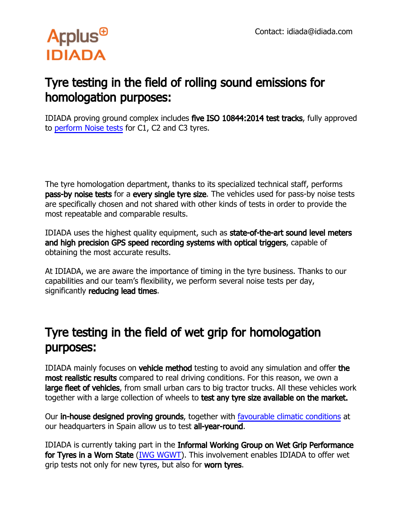#### Tyre testing in the field of rolling sound emissions for homologation purposes:

IDIADA proving ground complex includes five ISO 10844:2014 test tracks, fully approved to [perform Noise tests](http://www.applusidiada.com/global/es/what-we-do/service-sheet/circuito-de-pruebas?selectedtrack=2#testtrack) for C1, C2 and C3 tyres.

The tyre homologation department, thanks to its specialized technical staff, performs pass-by noise tests for a every single tyre size. The vehicles used for pass-by noise tests are specifically chosen and not shared with other kinds of tests in order to provide the most repeatable and comparable results.

IDIADA uses the highest quality equipment, such as state-of-the-art sound level meters and high precision GPS speed recording systems with optical triggers, capable of obtaining the most accurate results.

At IDIADA, we are aware the importance of timing in the tyre business. Thanks to our capabilities and our team's flexibility, we perform several noise tests per day, significantly reducing lead times.

#### Tyre testing in the field of wet grip for homologation purposes:

IDIADA mainly focuses on vehicle method testing to avoid any simulation and offer the most realistic results compared to real driving conditions. For this reason, we own a large fleet of vehicles, from small urban cars to big tractor trucks. All these vehicles work together with a large collection of wheels to test any tyre size available on the market.

Our in-house designed proving grounds, together with [favourable climatic conditions](http://meteo.idiada.com/index.html) at our headquarters in Spain allow us to test all-year-round.

IDIADA is currently taking part in the Informal Working Group on Wet Grip Performance for Tyres in a Worn State [\(IWG WGWT\)](http://wiki.unece.org/pages/viewpage.action?pageId=80380967). This involvement enables IDIADA to offer wet grip tests not only for new tyres, but also for worn tyres.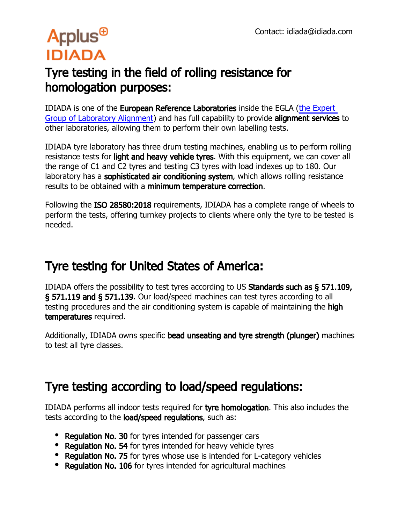### Tyre testing in the field of rolling resistance for homologation purposes:

IDIADA is one of the European Reference Laboratories inside the EGLA [\(the Expert](http://ec.europa.eu/info/energy-climate-change-environment/standards-tools-and-labels/products-labelling-rules-and-requirements/energy-label-and-ecodesign/energy-efficient-products/tyres_en)  [Group of Laboratory Alignment\)](http://ec.europa.eu/info/energy-climate-change-environment/standards-tools-and-labels/products-labelling-rules-and-requirements/energy-label-and-ecodesign/energy-efficient-products/tyres_en) and has full capability to provide alignment services to other laboratories, allowing them to perform their own labelling tests.

IDIADA tyre laboratory has three drum testing machines, enabling us to perform rolling resistance tests for **light and heavy vehicle tyres**. With this equipment, we can cover all the range of C1 and C2 tyres and testing C3 tyres with load indexes up to 180. Our laboratory has a sophisticated air conditioning system, which allows rolling resistance results to be obtained with a minimum temperature correction.

Following the ISO 28580:2018 requirements, IDIADA has a complete range of wheels to perform the tests, offering turnkey projects to clients where only the tyre to be tested is needed.

### Tyre testing for United States of America:

IDIADA offers the possibility to test tyres according to US Standards such as § 571.109, § 571.119 and § 571.139. Our load/speed machines can test tyres according to all testing procedures and the air conditioning system is capable of maintaining the high temperatures required.

Additionally, IDIADA owns specific bead unseating and tyre strength (plunger) machines to test all tyre classes.

#### Tyre testing according to load/speed regulations:

IDIADA performs all indoor tests required for tyre homologation. This also includes the tests according to the **load/speed regulations**, such as:

- Requiation No. 30 for tyres intended for passenger cars
- Regulation No. 54 for tyres intended for heavy vehicle tyres
- Regulation No. 75 for tyres whose use is intended for L-category vehicles
- Regulation No. 106 for tyres intended for agricultural machines